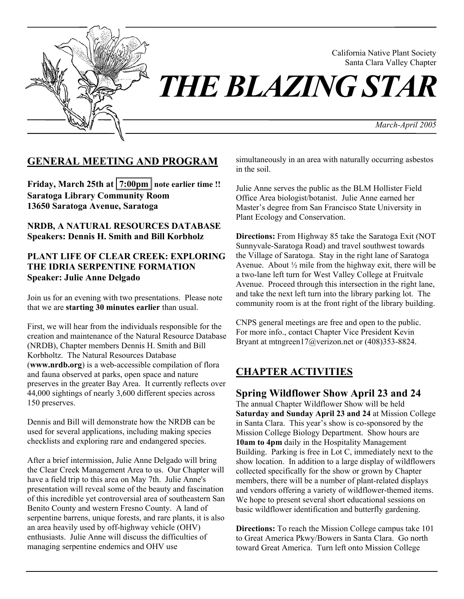

California Native Plant Society Santa Clara Valley Chapter

*THE BLAZING STAR* 

*March-April 2005* 

# **GENERAL MEETING AND PROGRAM**

Friday, March 25th at  $7:00 \text{pm}$  note earlier time !! **Saratoga Library Community Room 13650 Saratoga Avenue, Saratoga** 

**NRDB, A NATURAL RESOURCES DATABASE Speakers: Dennis H. Smith and Bill Korbholz** 

#### **PLANT LIFE OF CLEAR CREEK: EXPLORING THE IDRIA SERPENTINE FORMATION Speaker: Julie Anne Delgado**

Join us for an evening with two presentations. Please note that we are **starting 30 minutes earlier** than usual.

First, we will hear from the individuals responsible for the creation and maintenance of the Natural Resource Database (NRDB), Chapter members Dennis H. Smith and Bill Korbholtz. The Natural Resources Database (**www.nrdb.org**) is a web-accessible compilation of flora and fauna observed at parks, open space and nature preserves in the greater Bay Area. It currently reflects over 44,000 sightings of nearly 3,600 different species across 150 preserves.

Dennis and Bill will demonstrate how the NRDB can be used for several applications, including making species checklists and exploring rare and endangered species.

After a brief intermission, Julie Anne Delgado will bring the Clear Creek Management Area to us. Our Chapter will have a field trip to this area on May 7th. Julie Anne's presentation will reveal some of the beauty and fascination of this incredible yet controversial area of southeastern San Benito County and western Fresno County. A land of serpentine barrens, unique forests, and rare plants, it is also an area heavily used by off-highway vehicle (OHV) enthusiasts. Julie Anne will discuss the difficulties of managing serpentine endemics and OHV use

simultaneously in an area with naturally occurring asbestos in the soil.

Julie Anne serves the public as the BLM Hollister Field Office Area biologist/botanist. Julie Anne earned her Master's degree from San Francisco State University in Plant Ecology and Conservation.

**Directions:** From Highway 85 take the Saratoga Exit (NOT Sunnyvale-Saratoga Road) and travel southwest towards the Village of Saratoga. Stay in the right lane of Saratoga Avenue. About  $\frac{1}{2}$  mile from the highway exit, there will be a two-lane left turn for West Valley College at Fruitvale Avenue. Proceed through this intersection in the right lane, and take the next left turn into the library parking lot. The community room is at the front right of the library building.

CNPS general meetings are free and open to the public. For more info., contact Chapter Vice President Kevin Bryant at mtngreen17@verizon.net or (408)353-8824.

# **CHAPTER ACTIVITIES**

**Spring Wildflower Show April 23 and 24**  The annual Chapter Wildflower Show will be held **Saturday and Sunday April 23 and 24** at Mission College in Santa Clara. This year's show is co-sponsored by the Mission College Biology Department. Show hours are **10am to 4pm** daily in the Hospitality Management Building. Parking is free in Lot C, immediately next to the show location. In addition to a large display of wildflowers collected specifically for the show or grown by Chapter members, there will be a number of plant-related displays and vendors offering a variety of wildflower-themed items. We hope to present several short educational sessions on basic wildflower identification and butterfly gardening.

**Directions:** To reach the Mission College campus take 101 to Great America Pkwy/Bowers in Santa Clara. Go north toward Great America. Turn left onto Mission College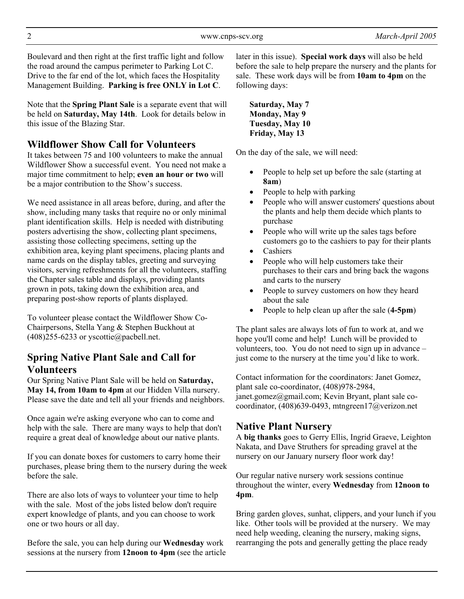Boulevard and then right at the first traffic light and follow the road around the campus perimeter to Parking Lot C. Drive to the far end of the lot, which faces the Hospitality Management Building. **Parking is free ONLY in Lot C**.

Note that the **Spring Plant Sale** is a separate event that will be held on **Saturday, May 14th**. Look for details below in this issue of the Blazing Star.

# **Wildflower Show Call for Volunteers**

It takes between 75 and 100 volunteers to make the annual Wildflower Show a successful event. You need not make a major time commitment to help; **even an hour or two** will be a major contribution to the Show's success.

We need assistance in all areas before, during, and after the show, including many tasks that require no or only minimal plant identification skills. Help is needed with distributing posters advertising the show, collecting plant specimens, assisting those collecting specimens, setting up the exhibition area, keying plant specimens, placing plants and name cards on the display tables, greeting and surveying visitors, serving refreshments for all the volunteers, staffing the Chapter sales table and displays, providing plants grown in pots, taking down the exhibition area, and preparing post-show reports of plants displayed.

To volunteer please contact the Wildflower Show Co-Chairpersons, Stella Yang & Stephen Buckhout at (408)255-6233 or yscottie@pacbell.net.

# **Spring Native Plant Sale and Call for Volunteers**

Our Spring Native Plant Sale will be held on **Saturday, May 14, from 10am to 4pm** at our Hidden Villa nursery. Please save the date and tell all your friends and neighbors.

Once again we're asking everyone who can to come and help with the sale. There are many ways to help that don't require a great deal of knowledge about our native plants.

If you can donate boxes for customers to carry home their purchases, please bring them to the nursery during the week before the sale.

There are also lots of ways to volunteer your time to help with the sale. Most of the jobs listed below don't require expert knowledge of plants, and you can choose to work one or two hours or all day.

Before the sale, you can help during our **Wednesday** work sessions at the nursery from **12noon to 4pm** (see the article later in this issue). **Special work days** will also be held before the sale to help prepare the nursery and the plants for sale. These work days will be from **10am to 4pm** on the following days:

**Saturday, May 7 Monday, May 9 Tuesday, May 10 Friday, May 13** 

On the day of the sale, we will need:

- People to help set up before the sale (starting at **8am**)
- People to help with parking
- People who will answer customers' questions about the plants and help them decide which plants to purchase
- People who will write up the sales tags before customers go to the cashiers to pay for their plants
- Cashiers
- People who will help customers take their purchases to their cars and bring back the wagons and carts to the nursery
- People to survey customers on how they heard about the sale
- People to help clean up after the sale (**4-5pm**)

The plant sales are always lots of fun to work at, and we hope you'll come and help! Lunch will be provided to volunteers, too. You do not need to sign up in advance – just come to the nursery at the time you'd like to work.

Contact information for the coordinators: Janet Gomez, plant sale co-coordinator, (408)978-2984, janet.gomez@gmail.com; Kevin Bryant, plant sale cocoordinator, (408)639-0493, mtngreen17@verizon.net

# **Native Plant Nursery**

A **big thanks** goes to Gerry Ellis, Ingrid Graeve, Leighton Nakata, and Dave Struthers for spreading gravel at the nursery on our January nursery floor work day!

Our regular native nursery work sessions continue throughout the winter, every **Wednesday** from **12noon to 4pm**.

Bring garden gloves, sunhat, clippers, and your lunch if you like. Other tools will be provided at the nursery. We may need help weeding, cleaning the nursery, making signs, rearranging the pots and generally getting the place ready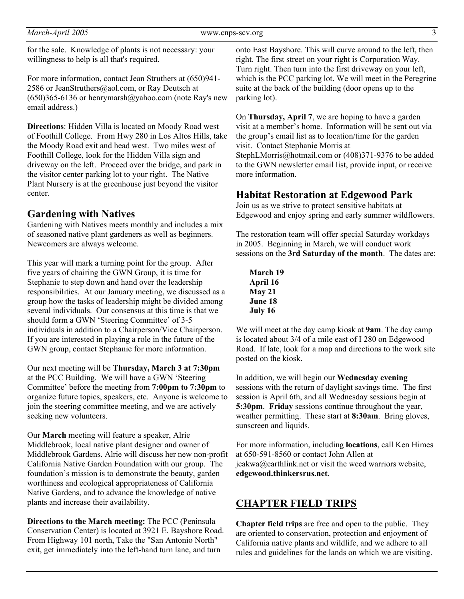for the sale. Knowledge of plants is not necessary: your willingness to help is all that's required.

For more information, contact Jean Struthers at (650)941- 2586 or JeanStruthers@aol.com, or Ray Deutsch at  $(650)365-6136$  or henrymarsh $@$ yahoo.com (note Ray's new email address.)

**Directions**: Hidden Villa is located on Moody Road west of Foothill College. From Hwy 280 in Los Altos Hills, take the Moody Road exit and head west. Two miles west of Foothill College, look for the Hidden Villa sign and driveway on the left. Proceed over the bridge, and park in the visitor center parking lot to your right. The Native Plant Nursery is at the greenhouse just beyond the visitor center.

### **Gardening with Natives**

Gardening with Natives meets monthly and includes a mix of seasoned native plant gardeners as well as beginners. Newcomers are always welcome.

This year will mark a turning point for the group. After five years of chairing the GWN Group, it is time for Stephanie to step down and hand over the leadership responsibilities. At our January meeting, we discussed as a group how the tasks of leadership might be divided among several individuals. Our consensus at this time is that we should form a GWN 'Steering Committee' of 3-5 individuals in addition to a Chairperson/Vice Chairperson. If you are interested in playing a role in the future of the GWN group, contact Stephanie for more information.

Our next meeting will be **Thursday, March 3 at 7:30pm** at the PCC Building. We will have a GWN 'Steering Committee' before the meeting from **7:00pm to 7:30pm** to organize future topics, speakers, etc. Anyone is welcome to join the steering committee meeting, and we are actively seeking new volunteers.

Our **March** meeting will feature a speaker, Alrie Middlebrook, local native plant designer and owner of Middlebrook Gardens. Alrie will discuss her new non-profit California Native Garden Foundation with our group. The foundation's mission is to demonstrate the beauty, garden worthiness and ecological appropriateness of California Native Gardens, and to advance the knowledge of native plants and increase their availability.

**Directions to the March meeting:** The PCC (Peninsula Conservation Center) is located at 3921 E. Bayshore Road. From Highway 101 north, Take the "San Antonio North" exit, get immediately into the left-hand turn lane, and turn

onto East Bayshore. This will curve around to the left, then right. The first street on your right is Corporation Way. Turn right. Then turn into the first driveway on your left, which is the PCC parking lot. We will meet in the Peregrine suite at the back of the building (door opens up to the parking lot).

On **Thursday, April 7**, we are hoping to have a garden visit at a member's home. Information will be sent out via the group's email list as to location/time for the garden visit. Contact Stephanie Morris at StephLMorris@hotmail.com or (408)371-9376 to be added to the GWN newsletter email list, provide input, or receive more information.

### **Habitat Restoration at Edgewood Park**

Join us as we strive to protect sensitive habitats at Edgewood and enjoy spring and early summer wildflowers.

The restoration team will offer special Saturday workdays in 2005. Beginning in March, we will conduct work sessions on the **3rd Saturday of the month**. The dates are:

**March 19 April 16 May 21 June 18 July 16**

We will meet at the day camp kiosk at **9am**. The day camp is located about 3/4 of a mile east of I 280 on Edgewood Road. If late, look for a map and directions to the work site posted on the kiosk.

In addition, we will begin our **Wednesday evening** sessions with the return of daylight savings time. The first session is April 6th, and all Wednesday sessions begin at **5:30pm**. **Friday** sessions continue throughout the year, weather permitting. These start at **8:30am**. Bring gloves, sunscreen and liquids.

For more information, including **locations**, call Ken Himes at 650-591-8560 or contact John Allen at jcakwa@earthlink.net or visit the weed warriors website, **edgewood.thinkersrus.net**.

### **CHAPTER FIELD TRIPS**

**Chapter field trips** are free and open to the public. They are oriented to conservation, protection and enjoyment of California native plants and wildlife, and we adhere to all rules and guidelines for the lands on which we are visiting.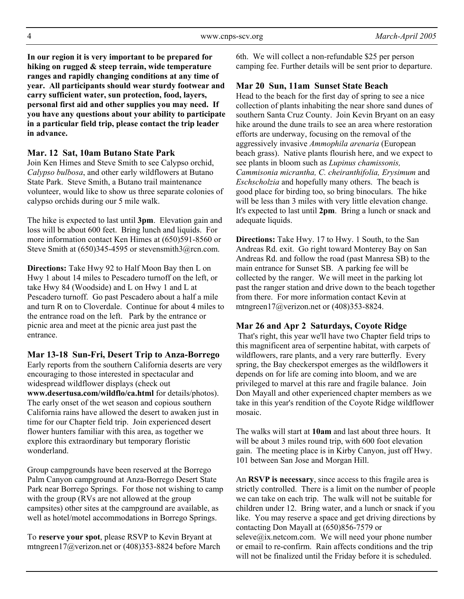**In our region it is very important to be prepared for hiking on rugged & steep terrain, wide temperature ranges and rapidly changing conditions at any time of year. All participants should wear sturdy footwear and carry sufficient water, sun protection, food, layers, personal first aid and other supplies you may need. If you have any questions about your ability to participate in a particular field trip, please contact the trip leader in advance.** 

#### **Mar. 12 Sat, 10am Butano State Park**

Join Ken Himes and Steve Smith to see Calypso orchid, *Calypso bulbosa*, and other early wildflowers at Butano State Park. Steve Smith, a Butano trail maintenance volunteer, would like to show us three separate colonies of calypso orchids during our 5 mile walk.

The hike is expected to last until **3pm**. Elevation gain and loss will be about 600 feet. Bring lunch and liquids. For more information contact Ken Himes at (650)591-8560 or Steve Smith at  $(650)345-4595$  or stevensmith $3@$ rcn.com.

**Directions:** Take Hwy 92 to Half Moon Bay then L on Hwy 1 about 14 miles to Pescadero turnoff on the left, or take Hwy 84 (Woodside) and L on Hwy 1 and L at Pescadero turnoff. Go past Pescadero about a half a mile and turn R on to Cloverdale. Continue for about 4 miles to the entrance road on the left. Park by the entrance or picnic area and meet at the picnic area just past the entrance.

**Mar 13-18 Sun-Fri, Desert Trip to Anza-Borrego** 

Early reports from the southern California deserts are very encouraging to those interested in spectacular and widespread wildflower displays (check out **www.desertusa.com/wildflo/ca.html** for details/photos). The early onset of the wet season and copious southern California rains have allowed the desert to awaken just in time for our Chapter field trip. Join experienced desert flower hunters familiar with this area, as together we explore this extraordinary but temporary floristic wonderland.

Group campgrounds have been reserved at the Borrego Palm Canyon campground at Anza-Borrego Desert State Park near Borrego Springs. For those not wishing to camp with the group (RVs are not allowed at the group campsites) other sites at the campground are available, as well as hotel/motel accommodations in Borrego Springs.

To **reserve your spot**, please RSVP to Kevin Bryant at mtngreen17@verizon.net or (408)353-8824 before March

6th. We will collect a non-refundable \$25 per person camping fee. Further details will be sent prior to departure.

#### **Mar 20 Sun, 11am Sunset State Beach**

Head to the beach for the first day of spring to see a nice collection of plants inhabiting the near shore sand dunes of southern Santa Cruz County. Join Kevin Bryant on an easy hike around the dune trails to see an area where restoration efforts are underway, focusing on the removal of the aggressively invasive *Ammophila arenaria* (European beach grass). Native plants flourish here, and we expect to see plants in bloom such as *Lupinus chamissonis, Cammisonia micrantha, C. cheiranthifolia, Erysimum* and *Eschscholzia* and hopefully many others. The beach is good place for birding too, so bring binoculars. The hike will be less than 3 miles with very little elevation change. It's expected to last until **2pm**. Bring a lunch or snack and adequate liquids.

**Directions:** Take Hwy. 17 to Hwy. 1 South, to the San Andreas Rd. exit. Go right toward Monterey Bay on San Andreas Rd. and follow the road (past Manresa SB) to the main entrance for Sunset SB. A parking fee will be collected by the ranger. We will meet in the parking lot past the ranger station and drive down to the beach together from there. For more information contact Kevin at mtngreen17@verizon.net or (408)353-8824.

#### **Mar 26 and Apr 2 Saturdays, Coyote Ridge**

 That's right, this year we'll have two Chapter field trips to this magnificent area of serpentine habitat, with carpets of wildflowers, rare plants, and a very rare butterfly. Every spring, the Bay checkerspot emerges as the wildflowers it depends on for life are coming into bloom, and we are privileged to marvel at this rare and fragile balance. Join Don Mayall and other experienced chapter members as we take in this year's rendition of the Coyote Ridge wildflower mosaic.

The walks will start at **10am** and last about three hours. It will be about 3 miles round trip, with 600 foot elevation gain. The meeting place is in Kirby Canyon, just off Hwy. 101 between San Jose and Morgan Hill.

An **RSVP is necessary**, since access to this fragile area is strictly controlled. There is a limit on the number of people we can take on each trip. The walk will not be suitable for children under 12. Bring water, and a lunch or snack if you like. You may reserve a space and get driving directions by contacting Don Mayall at (650)856-7579 or  $seleve@ix.netcom.com.$  We will need your phone number or email to re-confirm. Rain affects conditions and the trip will not be finalized until the Friday before it is scheduled.